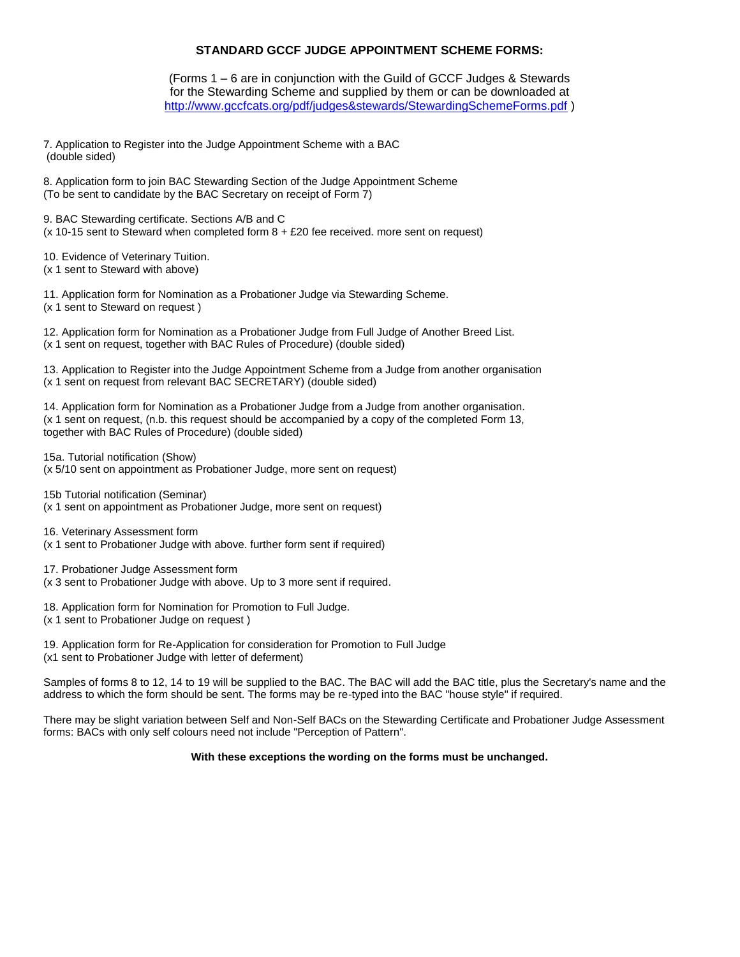#### **STANDARD GCCF JUDGE APPOINTMENT SCHEME FORMS:**

(Forms 1 – 6 are in conjunction with the Guild of GCCF Judges & Stewards for the Stewarding Scheme and supplied by them or can be downloaded at <http://www.gccfcats.org/pdf/judges&stewards/StewardingSchemeForms.pdf> )

7. Application to Register into the Judge Appointment Scheme with a BAC (double sided)

8. Application form to join BAC Stewarding Section of the Judge Appointment Scheme (To be sent to candidate by the BAC Secretary on receipt of Form 7)

9. BAC Stewarding certificate. Sections A/B and C (x 10-15 sent to Steward when completed form 8 + £20 fee received. more sent on request)

10. Evidence of Veterinary Tuition. (x 1 sent to Steward with above)

11. Application form for Nomination as a Probationer Judge via Stewarding Scheme. (x 1 sent to Steward on request )

12. Application form for Nomination as a Probationer Judge from Full Judge of Another Breed List. (x 1 sent on request, together with BAC Rules of Procedure) (double sided)

13. Application to Register into the Judge Appointment Scheme from a Judge from another organisation (x 1 sent on request from relevant BAC SECRETARY) (double sided)

14. Application form for Nomination as a Probationer Judge from a Judge from another organisation. (x 1 sent on request, (n.b. this request should be accompanied by a copy of the completed Form 13, together with BAC Rules of Procedure) (double sided)

15a. Tutorial notification (Show) (x 5/10 sent on appointment as Probationer Judge, more sent on request)

15b Tutorial notification (Seminar) (x 1 sent on appointment as Probationer Judge, more sent on request)

16. Veterinary Assessment form

(x 1 sent to Probationer Judge with above. further form sent if required)

17. Probationer Judge Assessment form

(x 3 sent to Probationer Judge with above. Up to 3 more sent if required.

18. Application form for Nomination for Promotion to Full Judge.

(x 1 sent to Probationer Judge on request )

19. Application form for Re-Application for consideration for Promotion to Full Judge (x1 sent to Probationer Judge with letter of deferment)

Samples of forms 8 to 12, 14 to 19 will be supplied to the BAC. The BAC will add the BAC title, plus the Secretary's name and the address to which the form should be sent. The forms may be re-typed into the BAC "house style" if required.

There may be slight variation between Self and Non-Self BACs on the Stewarding Certificate and Probationer Judge Assessment forms: BACs with only self colours need not include "Perception of Pattern".

#### **With these exceptions the wording on the forms must be unchanged.**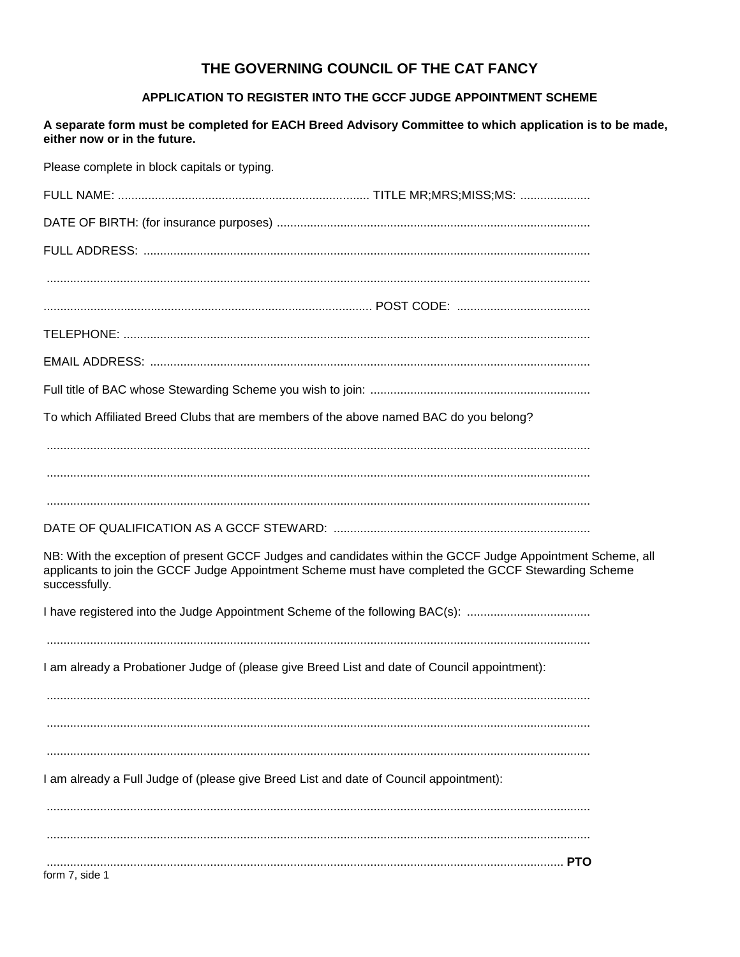## THE GOVERNING COUNCIL OF THE CAT FANCY

## APPLICATION TO REGISTER INTO THE GCCF JUDGE APPOINTMENT SCHEME

A separate form must be completed for EACH Breed Advisory Committee to which application is to be made, either now or in the future.

| Please complete in block capitals or typing.                                                  |                                                                                                                                                                                                                   |  |
|-----------------------------------------------------------------------------------------------|-------------------------------------------------------------------------------------------------------------------------------------------------------------------------------------------------------------------|--|
|                                                                                               |                                                                                                                                                                                                                   |  |
|                                                                                               |                                                                                                                                                                                                                   |  |
|                                                                                               |                                                                                                                                                                                                                   |  |
|                                                                                               |                                                                                                                                                                                                                   |  |
|                                                                                               |                                                                                                                                                                                                                   |  |
|                                                                                               |                                                                                                                                                                                                                   |  |
|                                                                                               |                                                                                                                                                                                                                   |  |
|                                                                                               |                                                                                                                                                                                                                   |  |
| To which Affiliated Breed Clubs that are members of the above named BAC do you belong?        |                                                                                                                                                                                                                   |  |
|                                                                                               |                                                                                                                                                                                                                   |  |
|                                                                                               |                                                                                                                                                                                                                   |  |
|                                                                                               |                                                                                                                                                                                                                   |  |
| successfully.                                                                                 | NB: With the exception of present GCCF Judges and candidates within the GCCF Judge Appointment Scheme, all<br>applicants to join the GCCF Judge Appointment Scheme must have completed the GCCF Stewarding Scheme |  |
|                                                                                               | I have registered into the Judge Appointment Scheme of the following BAC(s):                                                                                                                                      |  |
|                                                                                               |                                                                                                                                                                                                                   |  |
| I am already a Probationer Judge of (please give Breed List and date of Council appointment): |                                                                                                                                                                                                                   |  |
|                                                                                               |                                                                                                                                                                                                                   |  |
|                                                                                               |                                                                                                                                                                                                                   |  |
| I am already a Full Judge of (please give Breed List and date of Council appointment):        |                                                                                                                                                                                                                   |  |
|                                                                                               |                                                                                                                                                                                                                   |  |
|                                                                                               | <b>PTO</b>                                                                                                                                                                                                        |  |
| form 7, side 1                                                                                |                                                                                                                                                                                                                   |  |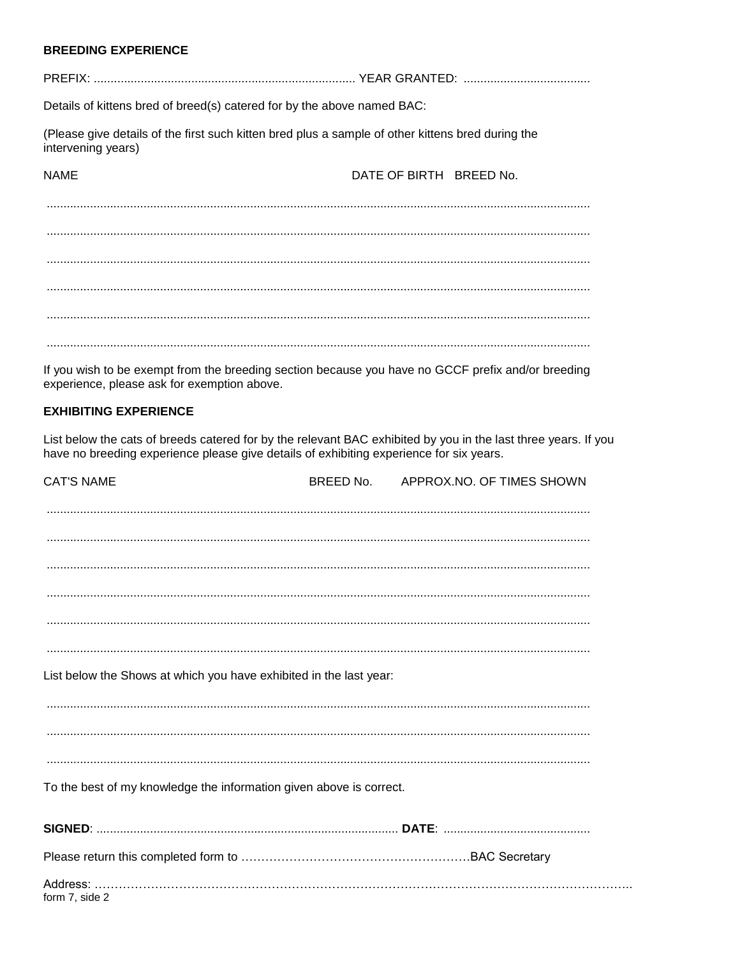### **BREEDING EXPERIENCE**

| Details of kittens bred of breed(s) catered for by the above named BAC:                                                 |                         |
|-------------------------------------------------------------------------------------------------------------------------|-------------------------|
| (Please give details of the first such kitten bred plus a sample of other kittens bred during the<br>intervening years) |                         |
| <b>NAME</b>                                                                                                             | DATE OF BIRTH BREED No. |
|                                                                                                                         |                         |
|                                                                                                                         |                         |
|                                                                                                                         |                         |
|                                                                                                                         |                         |
|                                                                                                                         |                         |

If you wish to be exempt from the breeding section because you have no GCCF prefix and/or breeding experience, please ask for exemption above.

## **EXHIBITING EXPERIENCE**

List below the cats of breeds catered for by the relevant BAC exhibited by you in the last three years. If you<br>have no breeding experience please give details of exhibiting experience for six years.

| <b>CAT'S NAME</b> |                                                                     | BREED No. APPROX.NO. OF TIMES SHOWN |
|-------------------|---------------------------------------------------------------------|-------------------------------------|
|                   |                                                                     |                                     |
|                   |                                                                     |                                     |
|                   |                                                                     |                                     |
|                   |                                                                     |                                     |
|                   |                                                                     |                                     |
|                   |                                                                     |                                     |
|                   | List below the Shows at which you have exhibited in the last year:  |                                     |
|                   |                                                                     |                                     |
|                   |                                                                     |                                     |
|                   |                                                                     |                                     |
|                   |                                                                     |                                     |
|                   | To the best of my knowledge the information given above is correct. |                                     |
|                   |                                                                     |                                     |
|                   |                                                                     |                                     |
|                   |                                                                     |                                     |
| form 7, side 2    |                                                                     |                                     |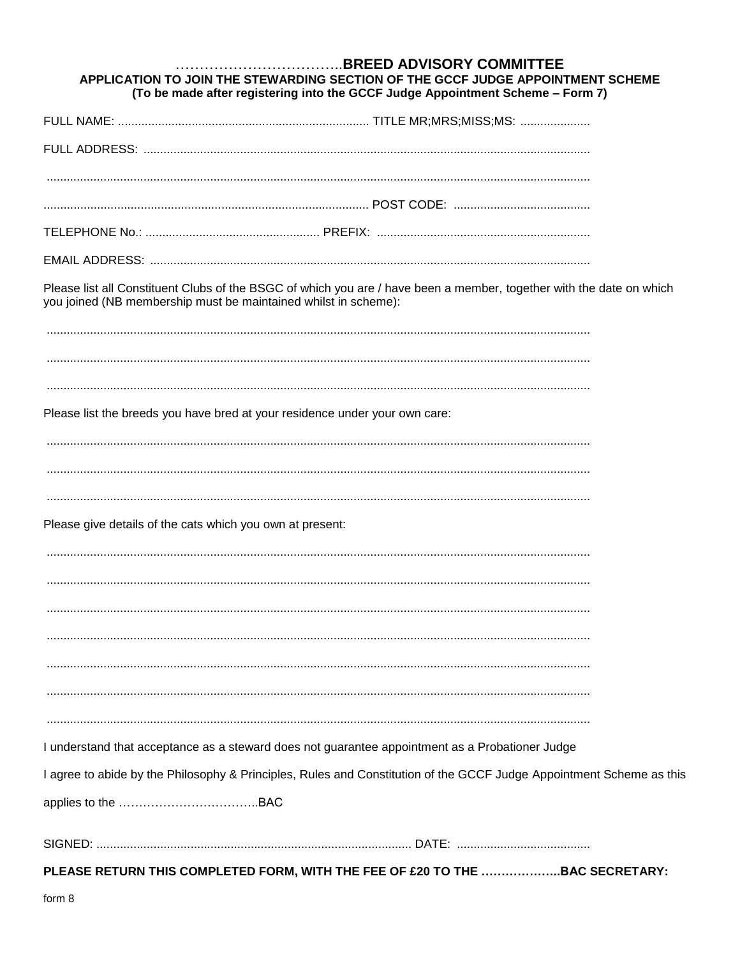## APPLICATION TO JOIN THE STEWARDING SECTION OF THE GCCF JUDGE APPOINTMENT SCHEME (To be made after registering into the GCCF Judge Appointment Scheme - Form 7)

|                                                           | Please list all Constituent Clubs of the BSGC of which you are / have been a member, together with the date on which<br>you joined (NB membership must be maintained whilst in scheme): |
|-----------------------------------------------------------|-----------------------------------------------------------------------------------------------------------------------------------------------------------------------------------------|
|                                                           |                                                                                                                                                                                         |
|                                                           | Please list the breeds you have bred at your residence under your own care:                                                                                                             |
|                                                           |                                                                                                                                                                                         |
| Please give details of the cats which you own at present: |                                                                                                                                                                                         |
|                                                           |                                                                                                                                                                                         |
|                                                           |                                                                                                                                                                                         |
|                                                           |                                                                                                                                                                                         |
|                                                           | I understand that acceptance as a steward does not guarantee appointment as a Probationer Judge                                                                                         |
|                                                           | I agree to abide by the Philosophy & Principles, Rules and Constitution of the GCCF Judge Appointment Scheme as this                                                                    |
|                                                           |                                                                                                                                                                                         |
|                                                           |                                                                                                                                                                                         |
|                                                           | PLEASE RETURN THIS COMPLETED FORM, WITH THE FEE OF £20 TO THE BAC SECRETARY:                                                                                                            |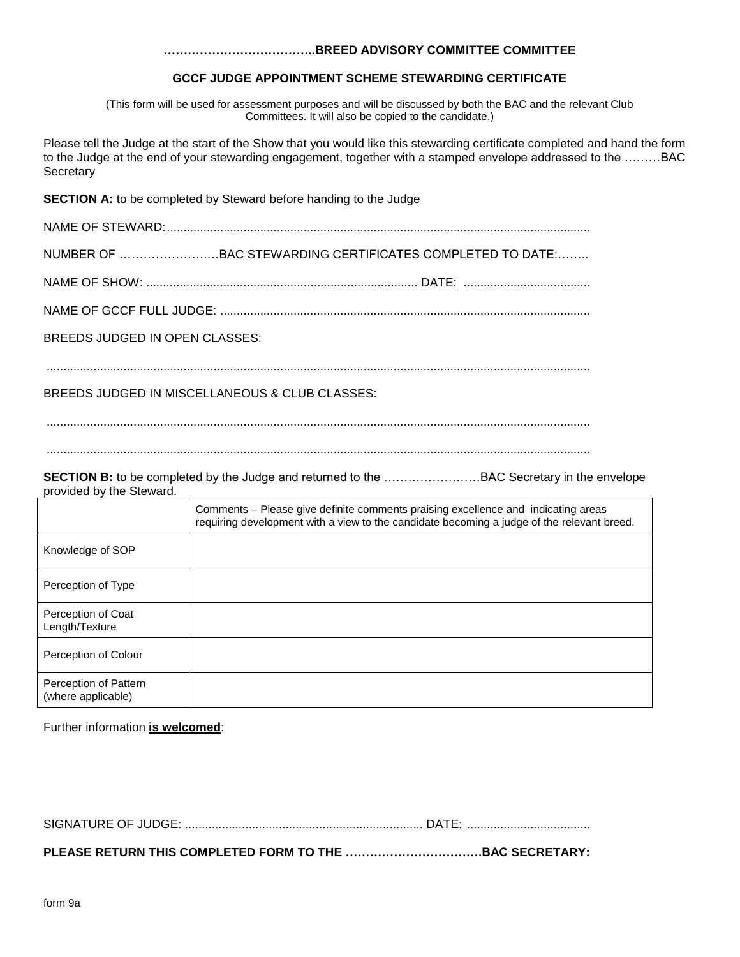#### **………………………………..BREED ADVISORY COMMITTEE COMMITTEE**

#### **GCCF JUDGE APPOINTMENT SCHEME STEWARDING CERTIFICATE**

(This form will be used for assessment purposes and will be discussed by both the BAC and the relevant Club Committees. It will also be copied to the candidate.)

Please tell the Judge at the start of the Show that you would like this stewarding certificate completed and hand the form to the Judge at the end of your stewarding engagement, together with a stamped envelope addressed to the ………BAC **Secretary** 

**SECTION A:** to be completed by Steward before handing to the Judge

NAME OF STEWARD:...............................................................................................................................

NUMBER OF ………………….…BAC STEWARDING CERTIFICATES COMPLETED TO DATE:……..

NAME OF SHOW: ................................................................................. DATE: ......................................

NAME OF GCCF FULL JUDGE: ...............................................................................................................

BREEDS JUDGED IN OPEN CLASSES:

...................................................................................................................................................................

BREEDS JUDGED IN MISCELLANEOUS & CLUB CLASSES:

...................................................................................................................................................................

...................................................................................................................................................................

**SECTION B:** to be completed by the Judge and returned to the ……………………BAC Secretary in the envelope provided by the Steward.

|                                             | Comments – Please give definite comments praising excellence and indicating areas<br>requiring development with a view to the candidate becoming a judge of the relevant breed. |
|---------------------------------------------|---------------------------------------------------------------------------------------------------------------------------------------------------------------------------------|
| Knowledge of SOP                            |                                                                                                                                                                                 |
| Perception of Type                          |                                                                                                                                                                                 |
| Perception of Coat<br>Length/Texture        |                                                                                                                                                                                 |
| Perception of Colour                        |                                                                                                                                                                                 |
| Perception of Pattern<br>(where applicable) |                                                                                                                                                                                 |

Further information **is welcomed**:

SIGNATURE OF JUDGE: ....................................................................... DATE: .....................................

**PLEASE RETURN THIS COMPLETED FORM TO THE …………………………….BAC SECRETARY:**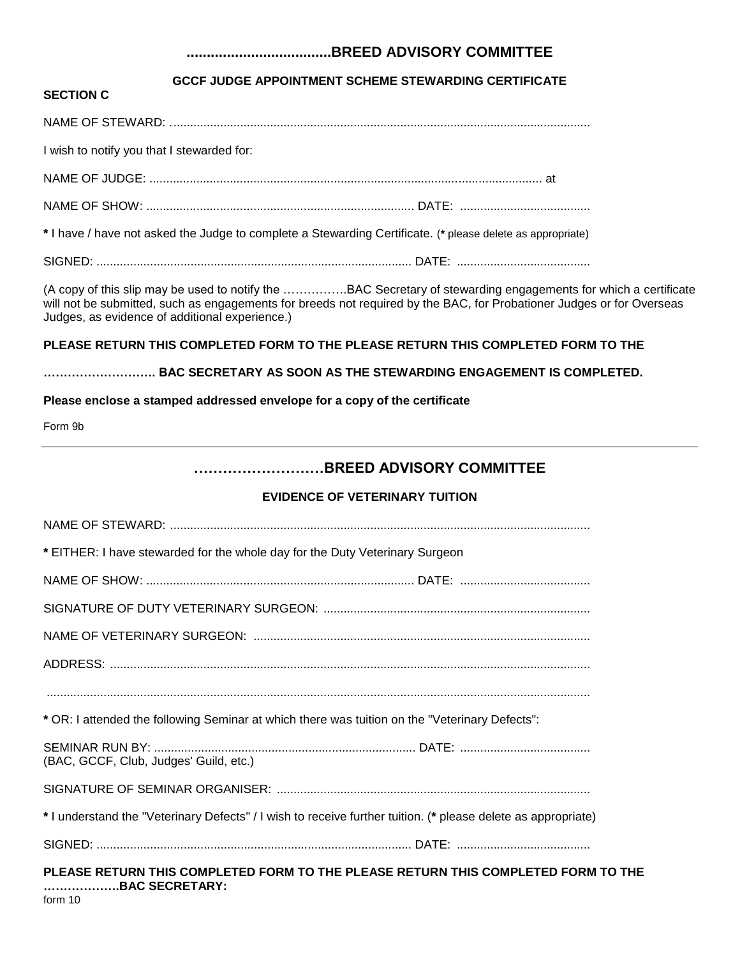## **....................................BREED ADVISORY COMMITTEE**

## **GCCF JUDGE APPOINTMENT SCHEME STEWARDING CERTIFICATE**

| $\bigcap$ $\bigcap$ $\bigcap$ $\bigcap$ $\bigcap$ $\bigcap$<br>NAME |  |
|---------------------------------------------------------------------|--|

I wish to notify you that I stewarded for:

NAME OF JUDGE: ..................................................................................................................... at

NAME OF SHOW: ................................................................................ DATE: .......................................

**\*** I have / have not asked the Judge to complete a Stewarding Certificate. (**\*** please delete as appropriate)

SIGNED: .............................................................................................. DATE: ........................................

(A copy of this slip may be used to notify the …………….BAC Secretary of stewarding engagements for which a certificate will not be submitted, such as engagements for breeds not required by the BAC, for Probationer Judges or for Overseas Judges, as evidence of additional experience.)

### **PLEASE RETURN THIS COMPLETED FORM TO THE PLEASE RETURN THIS COMPLETED FORM TO THE**

**………………………. BAC SECRETARY AS SOON AS THE STEWARDING ENGAGEMENT IS COMPLETED.**

#### **Please enclose a stamped addressed envelope for a copy of the certificate**

Form 9b

**SECTION C**

## **………………………BREED ADVISORY COMMITTEE**

### **EVIDENCE OF VETERINARY TUITION**

| PLEASE RETURN THIS COMPLETED FORM TO THE PLEASE RETURN THIS COMPLETED FORM TO THE<br>BAC SECRETARY:           |
|---------------------------------------------------------------------------------------------------------------|
|                                                                                                               |
| * I understand the "Veterinary Defects" / I wish to receive further tuition. (* please delete as appropriate) |
|                                                                                                               |
| (BAC, GCCF, Club, Judges' Guild, etc.)                                                                        |
| * OR: I attended the following Seminar at which there was tuition on the "Veterinary Defects":                |
|                                                                                                               |
|                                                                                                               |
|                                                                                                               |
|                                                                                                               |
|                                                                                                               |
| * EITHER: I have stewarded for the whole day for the Duty Veterinary Surgeon                                  |
|                                                                                                               |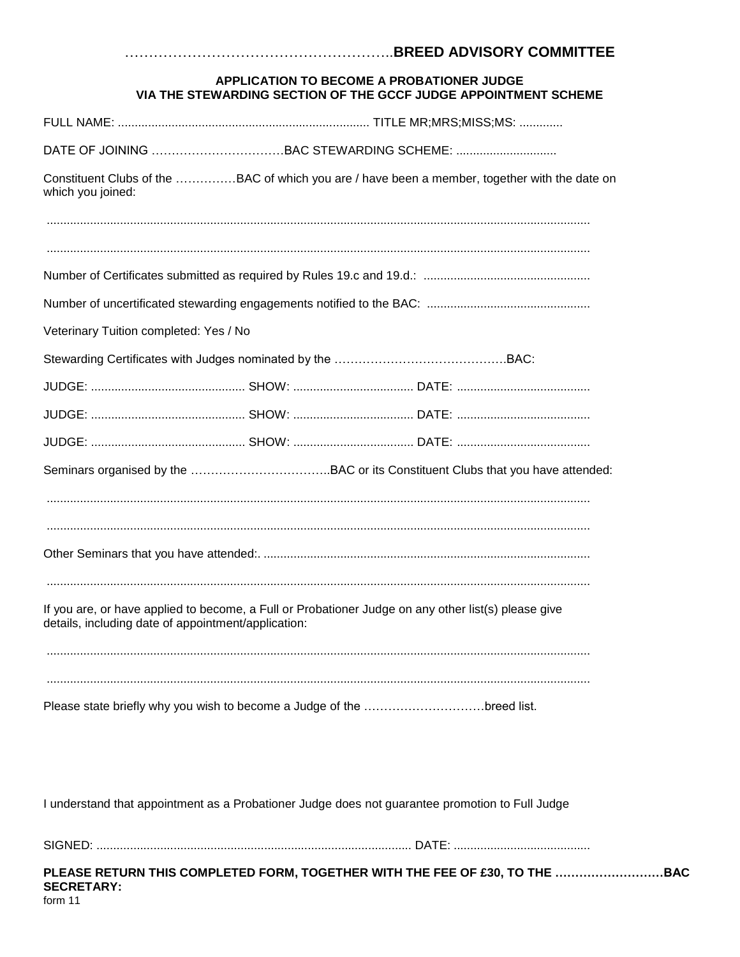| APPLICATION TO BECOME A PROBATIONER JUDGE                       |
|-----------------------------------------------------------------|
| VIA THE STEWARDING SECTION OF THE GCCF JUDGE APPOINTMENT SCHEME |

………………………………………………..**BREED ADVISORY COMMITTEE**

FULL NAME: ........................................................................... TITLE MR;MRS;MISS;MS: .............

Constituent Clubs of the ……………BAC of which you are / have been a member, together with the date on which you joined:

...................................................................................................................................................................

...................................................................................................................................................................

Number of Certificates submitted as required by Rules 19.c and 19.d.: ..................................................

Number of uncertificated stewarding engagements notified to the BAC: .................................................

Veterinary Tuition completed: Yes / No

Stewarding Certificates with Judges nominated by the …………………………………….BAC: JUDGE: .............................................. SHOW: .................................... DATE: ........................................

JUDGE: .............................................. SHOW: .................................... DATE: ........................................

JUDGE: .............................................. SHOW: .................................... DATE: ........................................

Seminars organised by the ……………………………..BAC or its Constituent Clubs that you have attended:

...................................................................................................................................................................

................................................................................................................................................................... Other Seminars that you have attended:. ..................................................................................................

...................................................................................................................................................................

If you are, or have applied to become, a Full or Probationer Judge on any other list(s) please give details, including date of appointment/application:

...................................................................................................................................................................

...................................................................................................................................................................

Please state briefly why you wish to become a Judge of the …………………………breed list.

I understand that appointment as a Probationer Judge does not guarantee promotion to Full Judge

SIGNED: .............................................................................................. DATE: .........................................

**PLEASE RETURN THIS COMPLETED FORM, TOGETHER WITH THE FEE OF £30, TO THE ………………………BAC SECRETARY:** 

form 11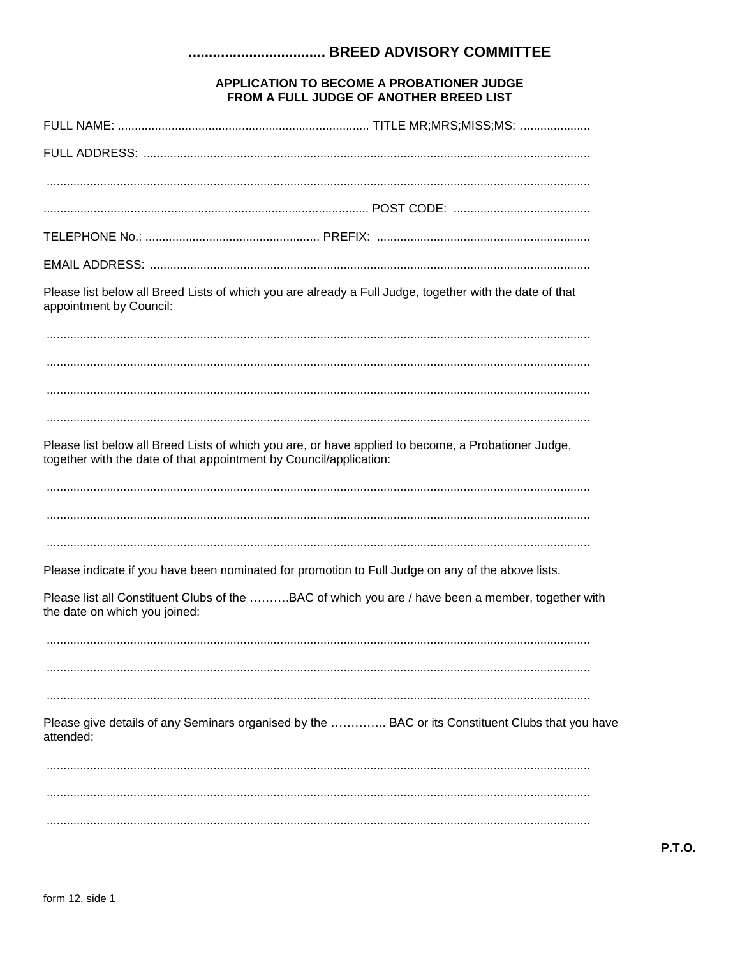## 

### APPLICATION TO BECOME A PROBATIONER JUDGE FROM A FULL JUDGE OF ANOTHER BREED LIST

| appointment by Council:                                                                           | Please list below all Breed Lists of which you are already a Full Judge, together with the date of that |
|---------------------------------------------------------------------------------------------------|---------------------------------------------------------------------------------------------------------|
|                                                                                                   |                                                                                                         |
|                                                                                                   |                                                                                                         |
| together with the date of that appointment by Council/application:                                | Please list below all Breed Lists of which you are, or have applied to become, a Probationer Judge,     |
|                                                                                                   |                                                                                                         |
| Please indicate if you have been nominated for promotion to Full Judge on any of the above lists. |                                                                                                         |
| the date on which you joined:                                                                     | Please list all Constituent Clubs of the BAC of which you are / have been a member, together with       |
|                                                                                                   |                                                                                                         |
| attended:                                                                                         | Please give details of any Seminars organised by the  BAC or its Constituent Clubs that you have        |
|                                                                                                   |                                                                                                         |
|                                                                                                   |                                                                                                         |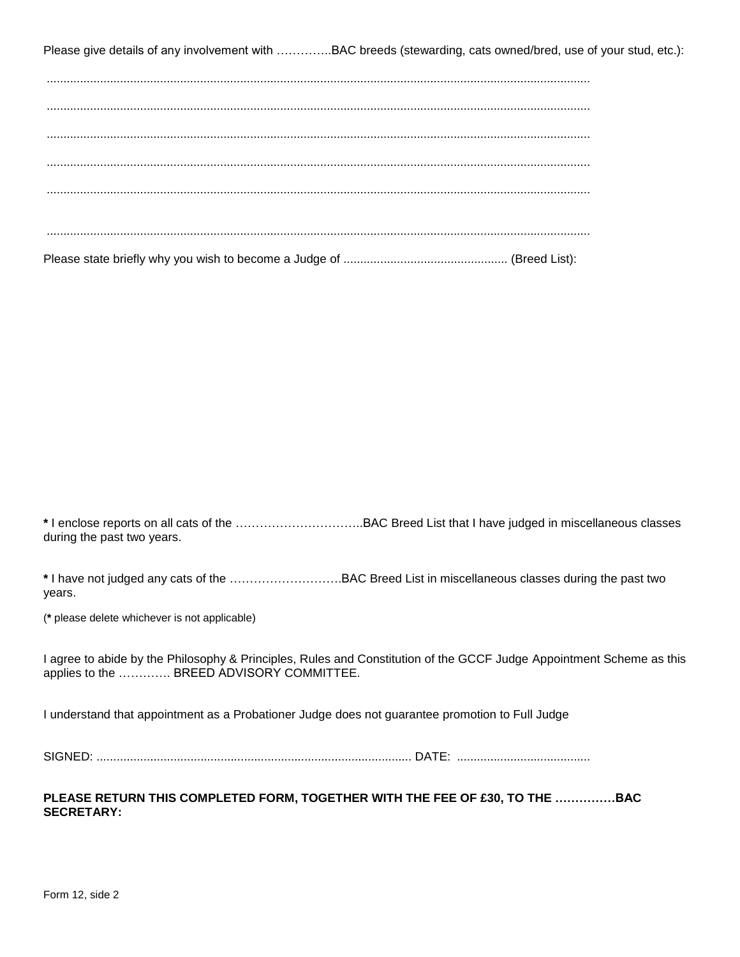Please give details of any involvement with …………..BAC breeds (stewarding, cats owned/bred, use of your stud, etc.):

**\*** I enclose reports on all cats of the …………………………..BAC Breed List that I have judged in miscellaneous classes during the past two years.

**\*** I have not judged any cats of the ……………………….BAC Breed List in miscellaneous classes during the past two years.

(**\*** please delete whichever is not applicable)

I agree to abide by the Philosophy & Principles, Rules and Constitution of the GCCF Judge Appointment Scheme as this applies to the …………. BREED ADVISORY COMMITTEE.

I understand that appointment as a Probationer Judge does not guarantee promotion to Full Judge

SIGNED: .............................................................................................. DATE: ........................................

#### **PLEASE RETURN THIS COMPLETED FORM, TOGETHER WITH THE FEE OF £30, TO THE ……………BAC SECRETARY:**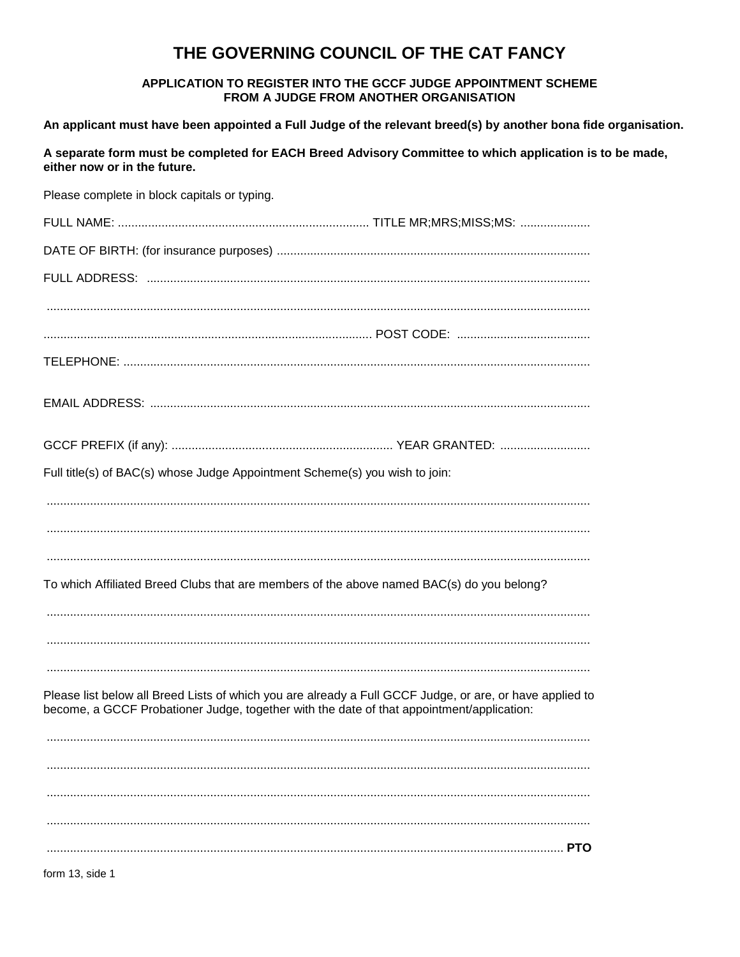# THE GOVERNING COUNCIL OF THE CAT FANCY

APPLICATION TO REGISTER INTO THE GCCF JUDGE APPOINTMENT SCHEME FROM A JUDGE FROM ANOTHER ORGANISATION

An applicant must have been appointed a Full Judge of the relevant breed(s) by another bona fide organisation.

A separate form must be completed for EACH Breed Advisory Committee to which application is to be made, either now or in the future.

| Please complete in block capitals or typing.                                                                                                                                                          |
|-------------------------------------------------------------------------------------------------------------------------------------------------------------------------------------------------------|
|                                                                                                                                                                                                       |
|                                                                                                                                                                                                       |
|                                                                                                                                                                                                       |
|                                                                                                                                                                                                       |
|                                                                                                                                                                                                       |
|                                                                                                                                                                                                       |
|                                                                                                                                                                                                       |
|                                                                                                                                                                                                       |
| Full title(s) of BAC(s) whose Judge Appointment Scheme(s) you wish to join:                                                                                                                           |
|                                                                                                                                                                                                       |
| To which Affiliated Breed Clubs that are members of the above named BAC(s) do you belong?                                                                                                             |
|                                                                                                                                                                                                       |
| Please list below all Breed Lists of which you are already a Full GCCF Judge, or are, or have applied to<br>become, a GCCF Probationer Judge, together with the date of that appointment/application: |
|                                                                                                                                                                                                       |
|                                                                                                                                                                                                       |
|                                                                                                                                                                                                       |
| <b>PTO</b>                                                                                                                                                                                            |

form 13, side 1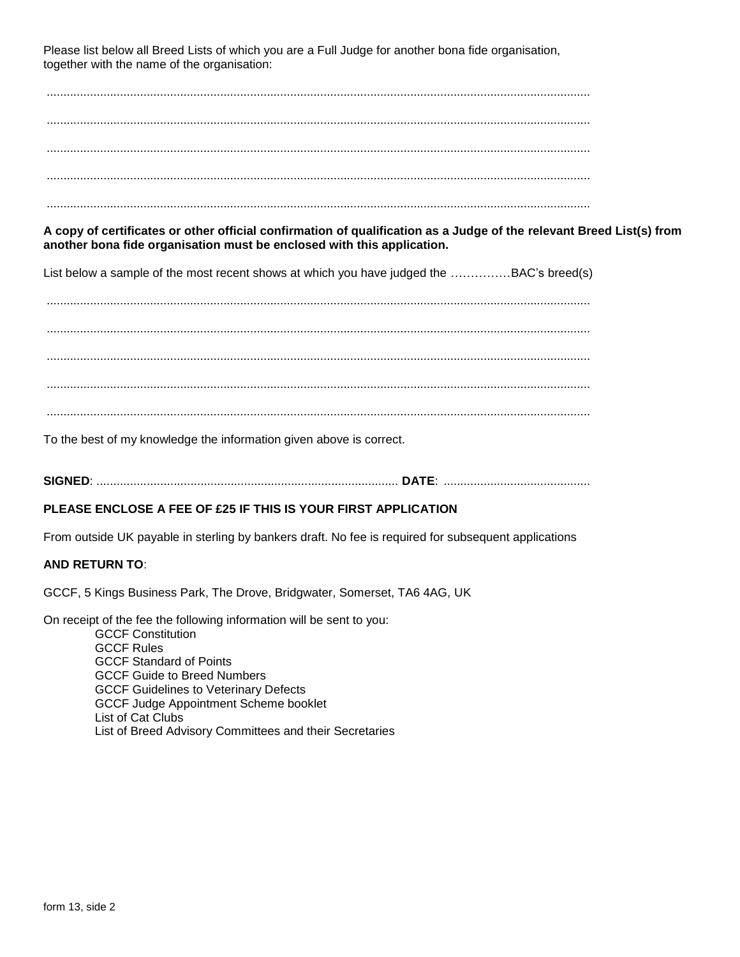Please list below all Breed Lists of which you are a Full Judge for another bona fide organisation, together with the name of the organisation:

...................................................................................................................................................................

...................................................................................................................................................................

...................................................................................................................................................................

...................................................................................................................................................................

...................................................................................................................................................................

**A copy of certificates or other official confirmation of qualification as a Judge of the relevant Breed List(s) from another bona fide organisation must be enclosed with this application.**

List below a sample of the most recent shows at which you have judged the ...............BAC's breed(s)

...................................................................................................................................................................

...................................................................................................................................................................

................................................................................................................................................................... ...................................................................................................................................................................

...................................................................................................................................................................

To the best of my knowledge the information given above is correct.

**SIGNED**: .......................................................................................... **DATE**: ............................................

## **PLEASE ENCLOSE A FEE OF £25 IF THIS IS YOUR FIRST APPLICATION**

From outside UK payable in sterling by bankers draft. No fee is required for subsequent applications

## **AND RETURN TO**:

GCCF, 5 Kings Business Park, The Drove, Bridgwater, Somerset, TA6 4AG, UK

On receipt of the fee the following information will be sent to you: GCCF Constitution GCCF Rules GCCF Standard of Points GCCF Guide to Breed Numbers GCCF Guidelines to Veterinary Defects GCCF Judge Appointment Scheme booklet List of Cat Clubs List of Breed Advisory Committees and their Secretaries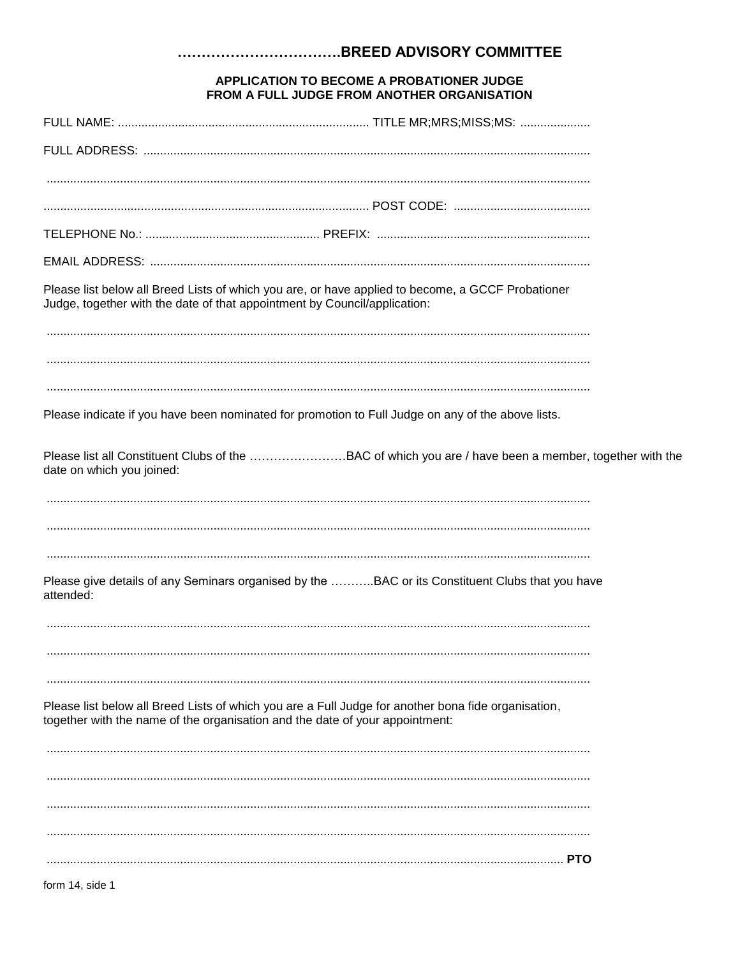## 

#### APPLICATION TO BECOME A PROBATIONER JUDGE FROM A FULL JUDGE FROM ANOTHER ORGANISATION

| Judge, together with the date of that appointment by Council/application:    | Please list below all Breed Lists of which you are, or have applied to become, a GCCF Probationer     |  |
|------------------------------------------------------------------------------|-------------------------------------------------------------------------------------------------------|--|
|                                                                              |                                                                                                       |  |
|                                                                              | Please indicate if you have been nominated for promotion to Full Judge on any of the above lists.     |  |
| date on which you joined:                                                    | Please list all Constituent Clubs of the BAC of which you are / have been a member, together with the |  |
|                                                                              |                                                                                                       |  |
| attended:                                                                    | Please give details of any Seminars organised by the BAC or its Constituent Clubs that you have       |  |
|                                                                              |                                                                                                       |  |
| together with the name of the organisation and the date of your appointment: | Please list below all Breed Lists of which you are a Full Judge for another bona fide organisation,   |  |
|                                                                              |                                                                                                       |  |
|                                                                              |                                                                                                       |  |
|                                                                              | . PTO                                                                                                 |  |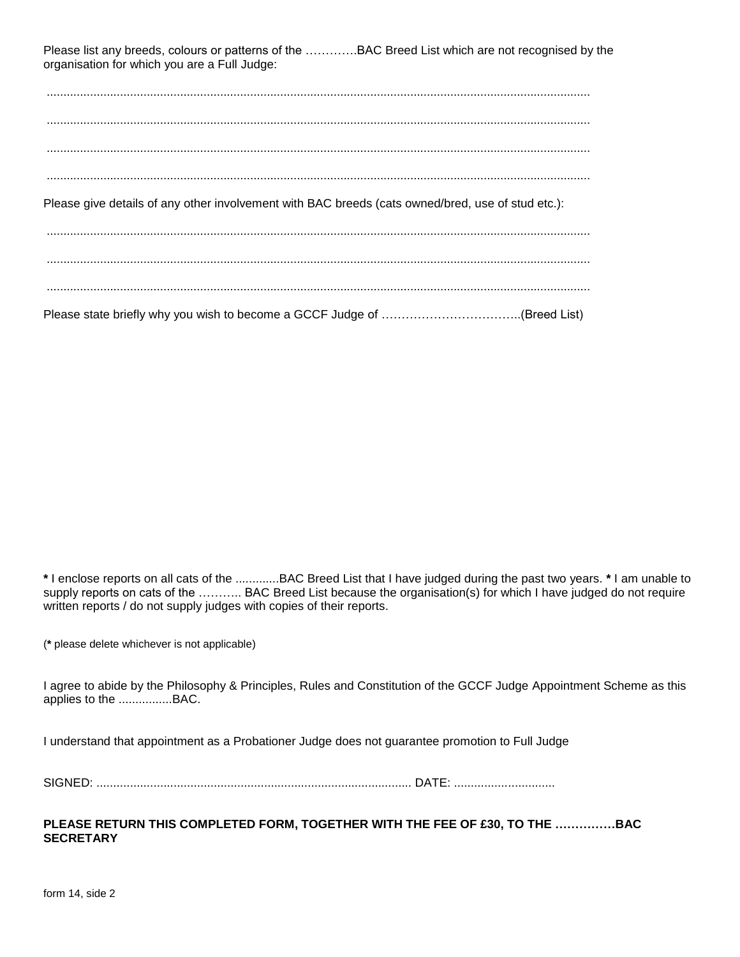Please list any breeds, colours or patterns of the ………….BAC Breed List which are not recognised by the organisation for which you are a Full Judge:

................................................................................................................................................................... ................................................................................................................................................................... ................................................................................................................................................................... ................................................................................................................................................................... Please give details of any other involvement with BAC breeds (cats owned/bred, use of stud etc.): ................................................................................................................................................................... ................................................................................................................................................................... ................................................................................................................................................................... Please state briefly why you wish to become a GCCF Judge of ……………………………..(Breed List)

**\*** I enclose reports on all cats of the .............BAC Breed List that I have judged during the past two years. **\*** I am unable to supply reports on cats of the ……….. BAC Breed List because the organisation(s) for which I have judged do not require written reports / do not supply judges with copies of their reports.

(**\*** please delete whichever is not applicable)

I agree to abide by the Philosophy & Principles, Rules and Constitution of the GCCF Judge Appointment Scheme as this applies to the ................BAC.

I understand that appointment as a Probationer Judge does not guarantee promotion to Full Judge

SIGNED: .............................................................................................. DATE: ..............................

#### **PLEASE RETURN THIS COMPLETED FORM, TOGETHER WITH THE FEE OF £30, TO THE ……………BAC SECRETARY**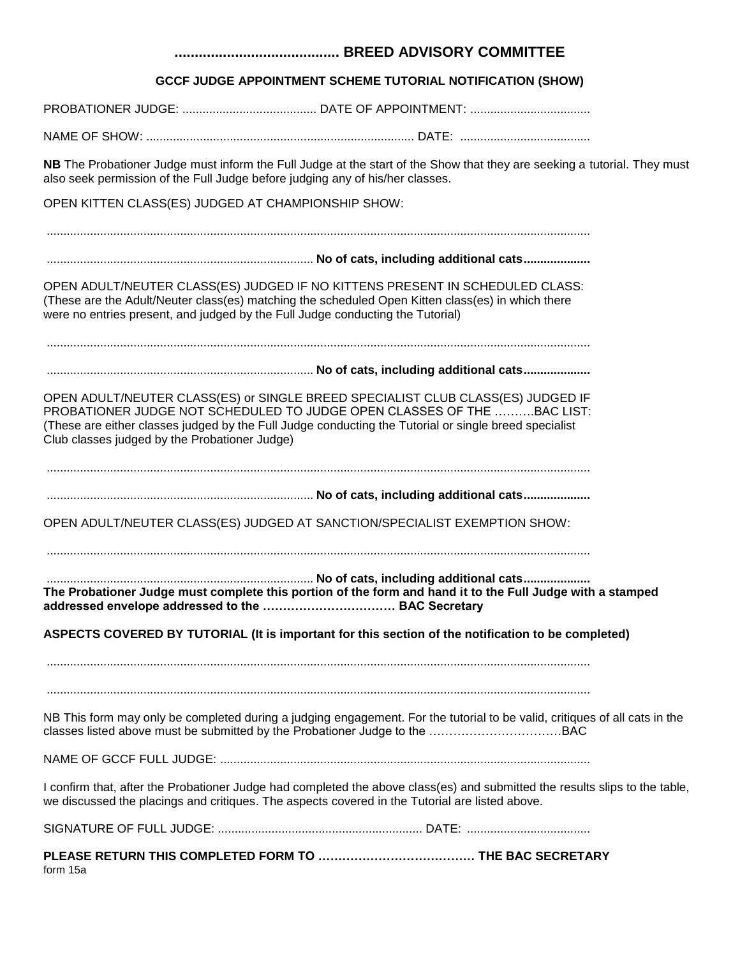## **......................................... BREED ADVISORY COMMITTEE**

## **GCCF JUDGE APPOINTMENT SCHEME TUTORIAL NOTIFICATION (SHOW)**

PROBATIONER JUDGE: ........................................ DATE OF APPOINTMENT: ....................................

NAME OF SHOW: ................................................................................ DATE: .......................................

**NB** The Probationer Judge must inform the Full Judge at the start of the Show that they are seeking a tutorial. They must also seek permission of the Full Judge before judging any of his/her classes.

OPEN KITTEN CLASS(ES) JUDGED AT CHAMPIONSHIP SHOW:

...................................................................................................................................................................

................................................................................ **No of cats, including additional cats....................** 

OPEN ADULT/NEUTER CLASS(ES) JUDGED IF NO KITTENS PRESENT IN SCHEDULED CLASS: (These are the Adult/Neuter class(es) matching the scheduled Open Kitten class(es) in which there were no entries present, and judged by the Full Judge conducting the Tutorial)

...................................................................................................................................................................

................................................................................ **No of cats, including additional cats....................**

OPEN ADULT/NEUTER CLASS(ES) or SINGLE BREED SPECIALIST CLUB CLASS(ES) JUDGED IF PROBATIONER JUDGE NOT SCHEDULED TO JUDGE OPEN CLASSES OF THE ……….BAC LIST: (These are either classes judged by the Full Judge conducting the Tutorial or single breed specialist Club classes judged by the Probationer Judge)

...................................................................................................................................................................

................................................................................ **No of cats, including additional cats....................**

OPEN ADULT/NEUTER CLASS(ES) JUDGED AT SANCTION/SPECIALIST EXEMPTION SHOW:

...................................................................................................................................................................

................................................................................ **No of cats, including additional cats.................... The Probationer Judge must complete this portion of the form and hand it to the Full Judge with a stamped addressed envelope addressed to the …………………………… BAC Secretary**

**ASPECTS COVERED BY TUTORIAL (It is important for this section of the notification to be completed)**

...................................................................................................................................................................

...................................................................................................................................................................

NB This form may only be completed during a judging engagement. For the tutorial to be valid, critiques of all cats in the classes listed above must be submitted by the Probationer Judge to the ……………………………BAC

NAME OF GCCF FULL JUDGE: ...............................................................................................................

I confirm that, after the Probationer Judge had completed the above class(es) and submitted the results slips to the table, we discussed the placings and critiques. The aspects covered in the Tutorial are listed above.

SIGNATURE OF FULL JUDGE: ............................................................. DATE: .....................................

**PLEASE RETURN THIS COMPLETED FORM TO ………………………………… THE BAC SECRETARY** form 15a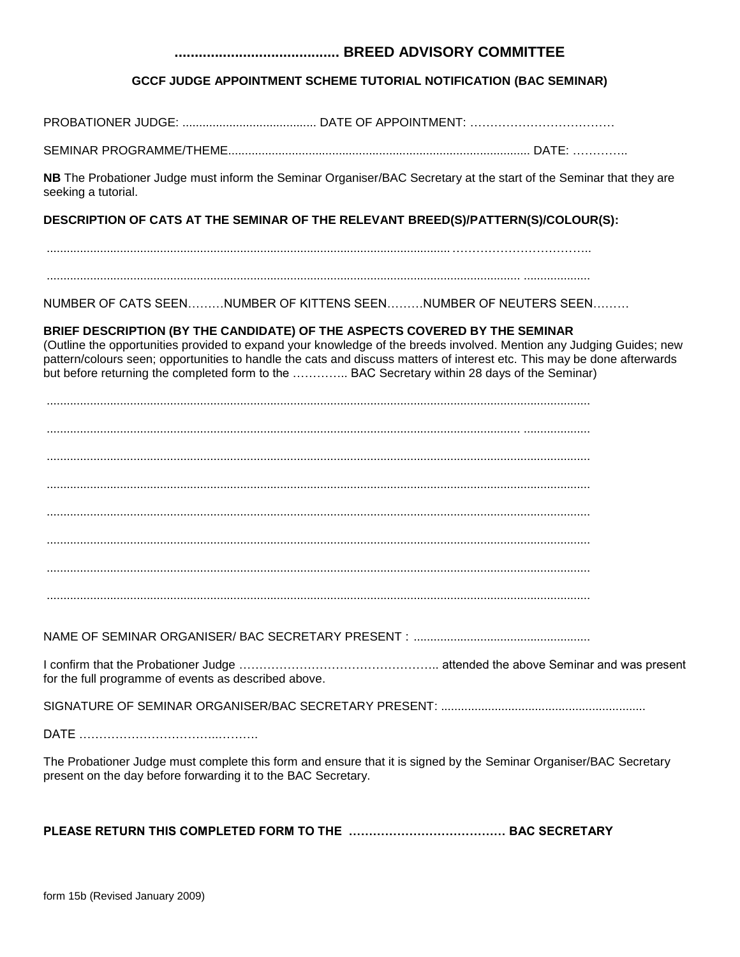## **......................................... BREED ADVISORY COMMITTEE**

### **GCCF JUDGE APPOINTMENT SCHEME TUTORIAL NOTIFICATION (BAC SEMINAR)**

PROBATIONER JUDGE: ........................................ DATE OF APPOINTMENT: ………………………………

SEMINAR PROGRAMME/THEME.......................................................................................... DATE: …………..

**NB** The Probationer Judge must inform the Seminar Organiser/BAC Secretary at the start of the Seminar that they are seeking a tutorial.

### **DESCRIPTION OF CATS AT THE SEMINAR OF THE RELEVANT BREED(S)/PATTERN(S)/COLOUR(S):**

.........................................................................................................................……………………………..

.............................................................................................................................................. ....................

NUMBER OF CATS SEEN………NUMBER OF KITTENS SEEN………NUMBER OF NEUTERS SEEN………

## **BRIEF DESCRIPTION (BY THE CANDIDATE) OF THE ASPECTS COVERED BY THE SEMINAR**

(Outline the opportunities provided to expand your knowledge of the breeds involved. Mention any Judging Guides; new pattern/colours seen; opportunities to handle the cats and discuss matters of interest etc. This may be done afterwards but before returning the completed form to the ………….. BAC Secretary within 28 days of the Seminar)

................................................................................................................................................................... .............................................................................................................................................. .................... ................................................................................................................................................................... ................................................................................................................................................................... ................................................................................................................................................................... ................................................................................................................................................................... ................................................................................................................................................................... ...................................................................................................................................................................

NAME OF SEMINAR ORGANISER/ BAC SECRETARY PRESENT : .....................................................

I confirm that the Probationer Judge ………………………………………….. attended the above Seminar and was present for the full programme of events as described above.

SIGNATURE OF SEMINAR ORGANISER/BAC SECRETARY PRESENT: .............................................................

DATE ……………………………..……….

The Probationer Judge must complete this form and ensure that it is signed by the Seminar Organiser/BAC Secretary present on the day before forwarding it to the BAC Secretary.

**PLEASE RETURN THIS COMPLETED FORM TO THE ………………………………… BAC SECRETARY**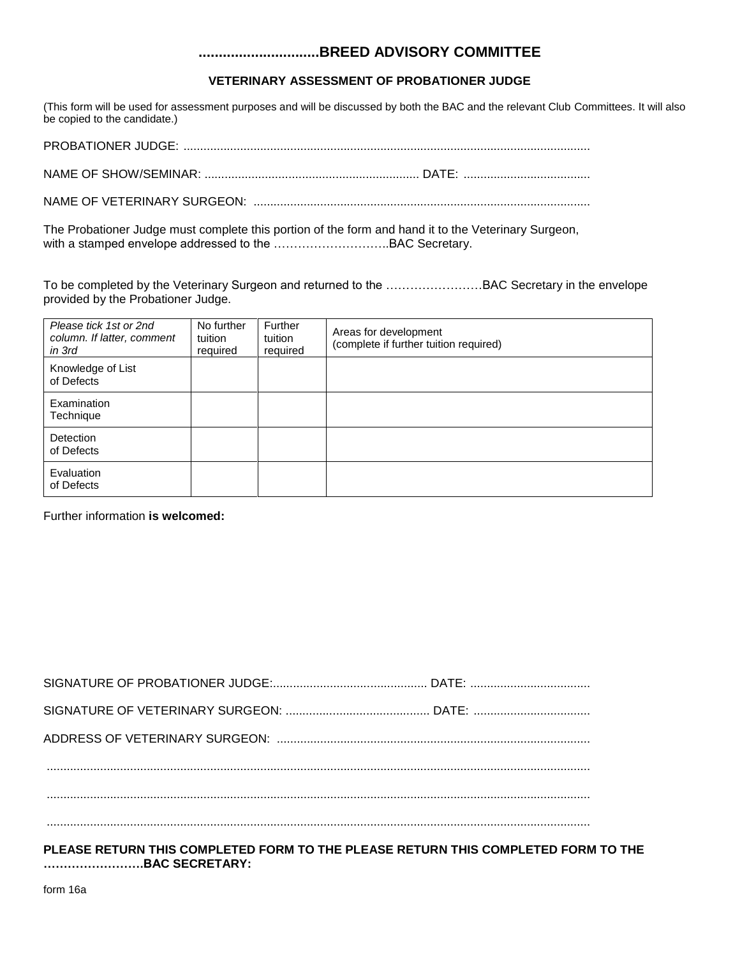## **..............................BREED ADVISORY COMMITTEE**

### **VETERINARY ASSESSMENT OF PROBATIONER JUDGE**

(This form will be used for assessment purposes and will be discussed by both the BAC and the relevant Club Committees. It will also be copied to the candidate.)

PROBATIONER JUDGE: ..........................................................................................................................

NAME OF SHOW/SEMINAR: ................................................................ DATE: ......................................

NAME OF VETERINARY SURGEON: .....................................................................................................

The Probationer Judge must complete this portion of the form and hand it to the Veterinary Surgeon, with a stamped envelope addressed to the ………………………..BAC Secretary.

To be completed by the Veterinary Surgeon and returned to the ……………………BAC Secretary in the envelope provided by the Probationer Judge.

| Please tick 1st or 2nd<br>column. If latter, comment<br>in 3rd | No further<br>tuition<br>required | Further<br>tuition<br>required | Areas for development<br>(complete if further tuition required) |
|----------------------------------------------------------------|-----------------------------------|--------------------------------|-----------------------------------------------------------------|
| Knowledge of List<br>of Defects                                |                                   |                                |                                                                 |
| Examination<br>Technique                                       |                                   |                                |                                                                 |
| Detection<br>of Defects                                        |                                   |                                |                                                                 |
| Evaluation<br>of Defects                                       |                                   |                                |                                                                 |

Further information **is welcomed:**

**PLEASE RETURN THIS COMPLETED FORM TO THE PLEASE RETURN THIS COMPLETED FORM TO THE …………………….BAC SECRETARY:** 

form 16a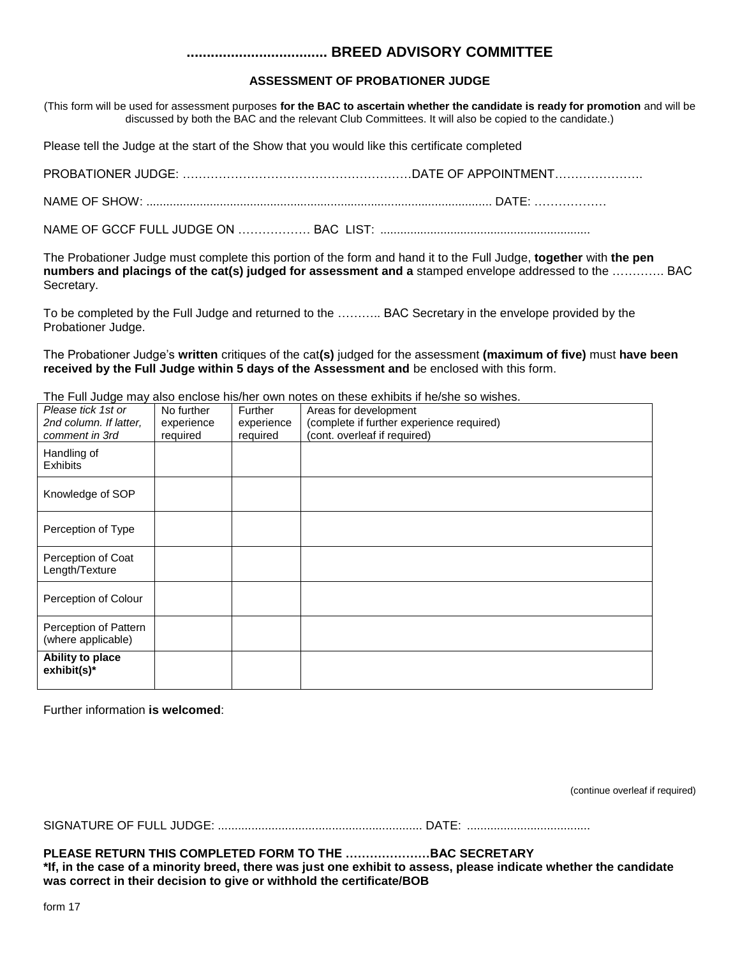## **................................... BREED ADVISORY COMMITTEE**

#### **ASSESSMENT OF PROBATIONER JUDGE**

(This form will be used for assessment purposes **for the BAC to ascertain whether the candidate is ready for promotion** and will be discussed by both the BAC and the relevant Club Committees. It will also be copied to the candidate.)

Please tell the Judge at the start of the Show that you would like this certificate completed

PROBATIONER JUDGE: …………………………………………………DATE OF APPOINTMENT………………….

NAME OF SHOW: ....................................................................................................... DATE: ………………

NAME OF GCCF FULL JUDGE ON ……………… BAC LIST: ...............................................................

The Probationer Judge must complete this portion of the form and hand it to the Full Judge, **together** with **the pen numbers and placings of the cat(s) judged for assessment and a** stamped envelope addressed to the …………. BAC Secretary.

To be completed by the Full Judge and returned to the ……….. BAC Secretary in the envelope provided by the Probationer Judge.

The Probationer Judge's **written** critiques of the cat**(s)** judged for the assessment **(maximum of five)** must **have been received by the Full Judge within 5 days of the Assessment and** be enclosed with this form.

The Full Judge may also enclose his/her own notes on these exhibits if he/she so wishes.

| Please tick 1st or<br>2nd column. If latter,<br>comment in 3rd | No further<br>experience<br>required | <b>Further</b><br>experience<br>required | Areas for development<br>(complete if further experience required)<br>(cont. overleaf if required) |
|----------------------------------------------------------------|--------------------------------------|------------------------------------------|----------------------------------------------------------------------------------------------------|
| Handling of<br><b>Exhibits</b>                                 |                                      |                                          |                                                                                                    |
| Knowledge of SOP                                               |                                      |                                          |                                                                                                    |
| Perception of Type                                             |                                      |                                          |                                                                                                    |
| Perception of Coat<br>Length/Texture                           |                                      |                                          |                                                                                                    |
| Perception of Colour                                           |                                      |                                          |                                                                                                    |
| Perception of Pattern<br>(where applicable)                    |                                      |                                          |                                                                                                    |
| Ability to place<br>exhibit(s)*                                |                                      |                                          |                                                                                                    |

Further information **is welcomed**:

(continue overleaf if required)

SIGNATURE OF FULL JUDGE: ............................................................. DATE: .....................................

#### **PLEASE RETURN THIS COMPLETED FORM TO THE …………………BAC SECRETARY**

**\*If, in the case of a minority breed, there was just one exhibit to assess, please indicate whether the candidate was correct in their decision to give or withhold the certificate/BOB**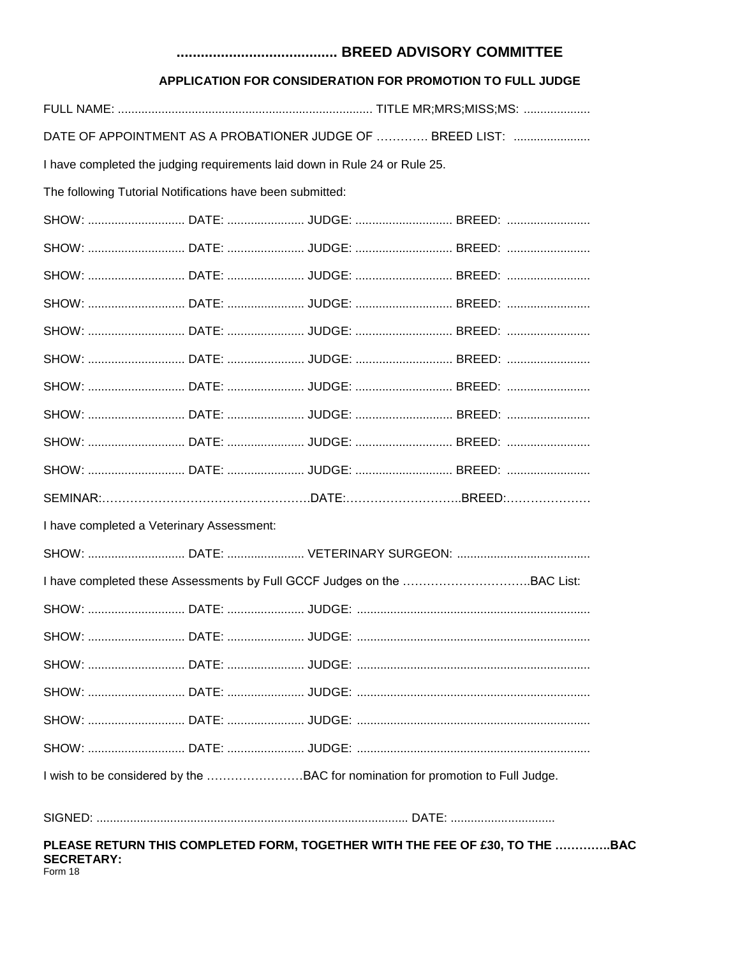## 

## APPLICATION FOR CONSIDERATION FOR PROMOTION TO FULL JUDGE

|                                                           |                                                                                | DATE OF APPOINTMENT AS A PROBATIONER JUDGE OF  BREED LIST:                  |
|-----------------------------------------------------------|--------------------------------------------------------------------------------|-----------------------------------------------------------------------------|
|                                                           | I have completed the judging requirements laid down in Rule 24 or Rule 25.     |                                                                             |
| The following Tutorial Notifications have been submitted: |                                                                                |                                                                             |
|                                                           |                                                                                | SHOW:  DATE:  JUDGE:  BREED:                                                |
|                                                           |                                                                                | SHOW:  DATE:  JUDGE:  BREED:                                                |
|                                                           |                                                                                | SHOW:  DATE:  JUDGE:  BREED:                                                |
|                                                           |                                                                                | SHOW:  DATE:  JUDGE:  BREED:                                                |
|                                                           |                                                                                | SHOW:  DATE:  JUDGE:  BREED:                                                |
|                                                           |                                                                                | SHOW:  DATE:  JUDGE:  BREED:                                                |
|                                                           |                                                                                | SHOW:  DATE:  JUDGE:  BREED:                                                |
|                                                           |                                                                                | SHOW:  DATE:  JUDGE:  BREED:                                                |
|                                                           |                                                                                | SHOW:  DATE:  JUDGE:  BREED:                                                |
|                                                           |                                                                                | SHOW:  DATE:  JUDGE:  BREED:                                                |
|                                                           |                                                                                |                                                                             |
| I have completed a Veterinary Assessment:                 |                                                                                |                                                                             |
|                                                           |                                                                                |                                                                             |
|                                                           |                                                                                | I have completed these Assessments by Full GCCF Judges on the BAC List:     |
|                                                           |                                                                                |                                                                             |
|                                                           |                                                                                |                                                                             |
|                                                           |                                                                                |                                                                             |
|                                                           |                                                                                |                                                                             |
|                                                           |                                                                                |                                                                             |
|                                                           |                                                                                |                                                                             |
|                                                           | I wish to be considered by the BAC for nomination for promotion to Full Judge. |                                                                             |
|                                                           |                                                                                |                                                                             |
|                                                           |                                                                                | PLEASE RETURN THIS COMPLETED FORM, TOGETHER WITH THE FEE OF £30, TO THE BAC |

**SECRETARY:** Form 18